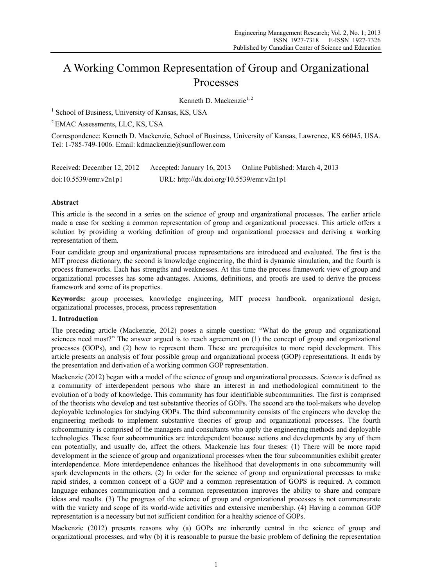# A Working Common Representation of Group and Organizational Processes

Kenneth D. Mackenzie $1, 2$ 

<sup>1</sup> School of Business, University of Kansas, KS, USA

<sup>2</sup> EMAC Assessments, LLC, KS, USA

Correspondence: Kenneth D. Mackenzie, School of Business, University of Kansas, Lawrence, KS 66045, USA. Tel: 1-785-749-1006. Email: kdmackenzie@sunflower.com

| Received: December 12, 2012 | Accepted: January 16, 2013                | Online Published: March 4, 2013 |
|-----------------------------|-------------------------------------------|---------------------------------|
| doi:10.5539/emr.v2n1p1      | URL: http://dx.doi.org/10.5539/emr.v2n1p1 |                                 |

# **Abstract**

This article is the second in a series on the science of group and organizational processes. The earlier article made a case for seeking a common representation of group and organizational processes. This article offers a solution by providing a working definition of group and organizational processes and deriving a working representation of them.

Four candidate group and organizational process representations are introduced and evaluated. The first is the MIT process dictionary, the second is knowledge engineering, the third is dynamic simulation, and the fourth is process frameworks. Each has strengths and weaknesses. At this time the process framework view of group and organizational processes has some advantages. Axioms, definitions, and proofs are used to derive the process framework and some of its properties.

**Keywords:** group processes, knowledge engineering, MIT process handbook, organizational design, organizational processes, process, process representation

# **1. Introduction**

The preceding article (Mackenzie, 2012) poses a simple question: "What do the group and organizational sciences need most?" The answer argued is to reach agreement on (1) the concept of group and organizational processes (GOPs), and (2) how to represent them. These are prerequisites to more rapid development. This article presents an analysis of four possible group and organizational process (GOP) representations. It ends by the presentation and derivation of a working common GOP representation.

Mackenzie (2012) began with a model of the science of group and organizational processes. *Science* is defined as a community of interdependent persons who share an interest in and methodological commitment to the evolution of a body of knowledge. This community has four identifiable subcommunities. The first is comprised of the theorists who develop and test substantive theories of GOPs. The second are the tool-makers who develop deployable technologies for studying GOPs. The third subcommunity consists of the engineers who develop the engineering methods to implement substantive theories of group and organizational processes. The fourth subcommunity is comprised of the managers and consultants who apply the engineering methods and deployable technologies. These four subcommunities are interdependent because actions and developments by any of them can potentially, and usually do, affect the others. Mackenzie has four theses: (1) There will be more rapid development in the science of group and organizational processes when the four subcommunities exhibit greater interdependence. More interdependence enhances the likelihood that developments in one subcommunity will spark developments in the others. (2) In order for the science of group and organizational processes to make rapid strides, a common concept of a GOP and a common representation of GOPS is required. A common language enhances communication and a common representation improves the ability to share and compare ideas and results. (3) The progress of the science of group and organizational processes is not commensurate with the variety and scope of its world-wide activities and extensive membership. (4) Having a common GOP representation is a necessary but not sufficient condition for a healthy science of GOPs.

Mackenzie (2012) presents reasons why (a) GOPs are inherently central in the science of group and organizational processes, and why (b) it is reasonable to pursue the basic problem of defining the representation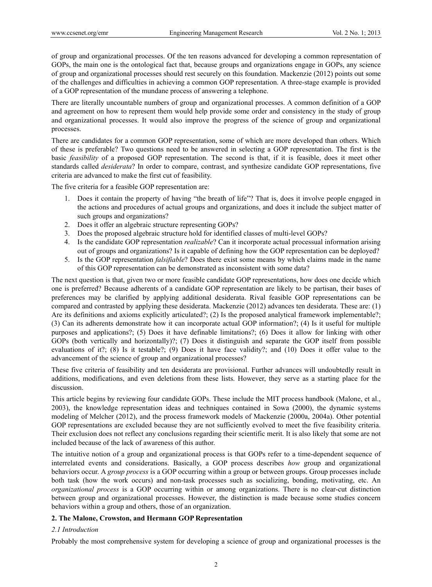of group and organizational processes. Of the ten reasons advanced for developing a common representation of GOPs, the main one is the ontological fact that, because groups and organizations engage in GOPs, any science of group and organizational processes should rest securely on this foundation. Mackenzie (2012) points out some of the challenges and difficulties in achieving a common GOP representation. A three-stage example is provided of a GOP representation of the mundane process of answering a telephone.

There are literally uncountable numbers of group and organizational processes. A common definition of a GOP and agreement on how to represent them would help provide some order and consistency in the study of group and organizational processes. It would also improve the progress of the science of group and organizational processes.

There are candidates for a common GOP representation, some of which are more developed than others. Which of these is preferable? Two questions need to be answered in selecting a GOP representation. The first is the basic *feasibility* of a proposed GOP representation. The second is that, if it is feasible, does it meet other standards called *desiderata*? In order to compare, contrast, and synthesize candidate GOP representations, five criteria are advanced to make the first cut of feasibility.

The five criteria for a feasible GOP representation are:

- 1. Does it contain the property of having "the breath of life"? That is, does it involve people engaged in the actions and procedures of actual groups and organizations, and does it include the subject matter of such groups and organizations?
- 2. Does it offer an algebraic structure representing GOPs?
- 3. Does the proposed algebraic structure hold for identified classes of multi-level GOPs?
- 4. Is the candidate GOP representation *realizable*? Can it incorporate actual processual information arising out of groups and organizations? Is it capable of defining how the GOP representation can be deployed?
- 5. Is the GOP representation *falsifiable*? Does there exist some means by which claims made in the name of this GOP representation can be demonstrated as inconsistent with some data?

The next question is that, given two or more feasible candidate GOP representations, how does one decide which one is preferred? Because adherents of a candidate GOP representation are likely to be partisan, their bases of preferences may be clarified by applying additional desiderata. Rival feasible GOP representations can be compared and contrasted by applying these desiderata. Mackenzie (2012) advances ten desiderata. These are: (1) Are its definitions and axioms explicitly articulated?; (2) Is the proposed analytical framework implementable?; (3) Can its adherents demonstrate how it can incorporate actual GOP information?; (4) Is it useful for multiple purposes and applications?; (5) Does it have definable limitations?; (6) Does it allow for linking with other GOPs (both vertically and horizontally)?; (7) Does it distinguish and separate the GOP itself from possible evaluations of it?; (8) Is it testable?; (9) Does it have face validity?; and (10) Does it offer value to the advancement of the science of group and organizational processes?

These five criteria of feasibility and ten desiderata are provisional. Further advances will undoubtedly result in additions, modifications, and even deletions from these lists. However, they serve as a starting place for the discussion.

This article begins by reviewing four candidate GOPs. These include the MIT process handbook (Malone, et al., 2003), the knowledge representation ideas and techniques contained in Sowa (2000), the dynamic systems modeling of Melcher (2012), and the process framework models of Mackenzie (2000a, 2004a). Other potential GOP representations are excluded because they are not sufficiently evolved to meet the five feasibility criteria. Their exclusion does not reflect any conclusions regarding their scientific merit. It is also likely that some are not included because of the lack of awareness of this author.

The intuitive notion of a group and organizational process is that GOPs refer to a time-dependent sequence of interrelated events and considerations. Basically, a GOP process describes *how* group and organizational behaviors occur. A *group process* is a GOP occurring within a group or between groups. Group processes include both task (how the work occurs) and non-task processes such as socializing, bonding, motivating, etc. An *organizational process* is a GOP occurring within or among organizations. There is no clear-cut distinction between group and organizational processes. However, the distinction is made because some studies concern behaviors within a group and others, those of an organization.

# **2. The Malone, Crowston, and Hermann GOP Representation**

# *2.1 Introduction*

Probably the most comprehensive system for developing a science of group and organizational processes is the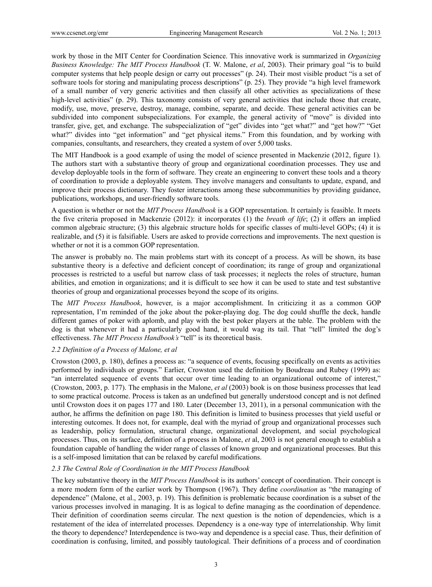work by those in the MIT Center for Coordination Science. This innovative work is summarized in *Organizing Business Knowledge: The MIT Process Handbook* (T. W. Malone, *et al*, 2003). Their primary goal "is to build computer systems that help people design or carry out processes" (p. 24). Their most visible product "is a set of software tools for storing and manipulating process descriptions" (p. 25). They provide "a high level framework of a small number of very generic activities and then classify all other activities as specializations of these high-level activities" (p. 29). This taxonomy consists of very general activities that include those that create, modify, use, move, preserve, destroy, manage, combine, separate, and decide. These general activities can be subdivided into component subspecializations. For example, the general activity of "move" is divided into transfer, give, get, and exchange. The subspecialization of "get" divides into "get what?" and "get how?" "Get what?" divides into "get information" and "get physical items." From this foundation, and by working with companies, consultants, and researchers, they created a system of over 5,000 tasks.

The MIT Handbook is a good example of using the model of science presented in Mackenzie (2012, figure 1). The authors start with a substantive theory of group and organizational coordination processes. They use and develop deployable tools in the form of software. They create an engineering to convert these tools and a theory of coordination to provide a deployable system. They involve managers and consultants to update, expand, and improve their process dictionary. They foster interactions among these subcommunities by providing guidance, publications, workshops, and user-friendly software tools.

A question is whether or not the *MIT Process Handbook* is a GOP representation. It certainly is feasible. It meets the five criteria proposed in Mackenzie (2012): it incorporates (1) the *breath of life*; (2) it offers an implied common algebraic structure; (3) this algebraic structure holds for specific classes of multi-level GOPs; (4) it is realizable, and (5) it is falsifiable. Users are asked to provide corrections and improvements. The next question is whether or not it is a common GOP representation.

The answer is probably no. The main problems start with its concept of a process. As will be shown, its base substantive theory is a defective and deficient concept of coordination; its range of group and organizational processes is restricted to a useful but narrow class of task processes; it neglects the roles of structure, human abilities, and emotion in organizations; and it is difficult to see how it can be used to state and test substantive theories of group and organizational processes beyond the scope of its origins.

The *MIT Process Handbook*, however, is a major accomplishment. In criticizing it as a common GOP representation, I'm reminded of the joke about the poker-playing dog. The dog could shuffle the deck, handle different games of poker with aplomb, and play with the best poker players at the table. The problem with the dog is that whenever it had a particularly good hand, it would wag its tail. That "tell" limited the dog's effectiveness. *The MIT Process Handbook's* "tell" is its theoretical basis.

# *2.2 Definition of a Process of Malone, et al*

Crowston (2003, p. 180), defines a process as: "a sequence of events, focusing specifically on events as activities performed by individuals or groups." Earlier, Crowston used the definition by Boudreau and Rubey (1999) as: "an interrelated sequence of events that occur over time leading to an organizational outcome of interest," (Crowston, 2003, p. 177). The emphasis in the Malone, *et al* (2003) book is on those business processes that lead to some practical outcome. Process is taken as an undefined but generally understood concept and is not defined until Crowston does it on pages 177 and 180. Later (December 13, 2011), in a personal communication with the author, he affirms the definition on page 180. This definition is limited to business processes that yield useful or interesting outcomes. It does not, for example, deal with the myriad of group and organizational processes such as leadership, policy formulation, structural change, organizational development, and social psychological processes. Thus, on its surface, definition of a process in Malone, *et* al, 2003 is not general enough to establish a foundation capable of handling the wider range of classes of known group and organizational processes. But this is a self-imposed limitation that can be relaxed by careful modifications.

# *2.3 The Central Role of Coordination in the MIT Process Handbook*

The key substantive theory in the *MIT Process Handbook* is its authors' concept of coordination. Their concept is a more modern form of the earlier work by Thompson (1967). They define *coordination* as "the managing of dependence" (Malone, et al., 2003, p. 19). This definition is problematic because coordination is a subset of the various processes involved in managing. It is as logical to define managing as the coordination of dependence. Their definition of coordination seems circular. The next question is the notion of dependencies, which is a restatement of the idea of interrelated processes. Dependency is a one-way type of interrelationship. Why limit the theory to dependence? Interdependence is two-way and dependence is a special case. Thus, their definition of coordination is confusing, limited, and possibly tautological. Their definitions of a process and of coordination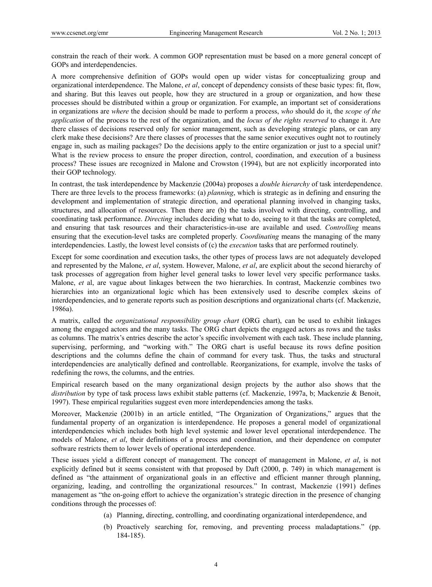constrain the reach of their work. A common GOP representation must be based on a more general concept of GOPs and interdependencies.

A more comprehensive definition of GOPs would open up wider vistas for conceptualizing group and organizational interdependence. The Malone, *et al*, concept of dependency consists of these basic types: fit, flow, and sharing. But this leaves out people, how they are structured in a group or organization, and how these processes should be distributed within a group or organization. For example, an important set of considerations in organizations are *where* the decision should be made to perform a process, *who* should do it, the *scope of the application* of the process to the rest of the organization, and the *locus of the rights reserved* to change it. Are there classes of decisions reserved only for senior management, such as developing strategic plans, or can any clerk make these decisions? Are there classes of processes that the same senior executives ought not to routinely engage in, such as mailing packages? Do the decisions apply to the entire organization or just to a special unit? What is the review process to ensure the proper direction, control, coordination, and execution of a business process? These issues are recognized in Malone and Crowston (1994), but are not explicitly incorporated into their GOP technology.

In contrast, the task interdependence by Mackenzie (2004a) proposes a *double hierarchy* of task interdependence. There are three levels to the process frameworks: (a) *planning*, which is strategic as in defining and ensuring the development and implementation of strategic direction, and operational planning involved in changing tasks, structures, and allocation of resources. Then there are (b) the tasks involved with directing, controlling, and coordinating task performance. *Directing* includes deciding what to do, seeing to it that the tasks are completed, and ensuring that task resources and their characteristics-in-use are available and used. *Controlling* means ensuring that the execution-level tasks are completed properly. *Coordinating* means the managing of the many interdependencies. Lastly, the lowest level consists of (c) the *execution* tasks that are performed routinely.

Except for some coordination and execution tasks, the other types of process laws are not adequately developed and represented by the Malone, *et al*, system. However, Malone, *et al*, are explicit about the second hierarchy of task processes of aggregation from higher level general tasks to lower level very specific performance tasks. Malone, *et* al, are vague about linkages between the two hierarchies. In contrast, Mackenzie combines two hierarchies into an organizational logic which has been extensively used to describe complex skeins of interdependencies, and to generate reports such as position descriptions and organizational charts (cf. Mackenzie, 1986a).

A matrix, called the *organizational responsibility group chart* (ORG chart), can be used to exhibit linkages among the engaged actors and the many tasks. The ORG chart depicts the engaged actors as rows and the tasks as columns. The matrix's entries describe the actor's specific involvement with each task. These include planning, supervising, performing, and "working with." The ORG chart is useful because its rows define position descriptions and the columns define the chain of command for every task. Thus, the tasks and structural interdependencies are analytically defined and controllable. Reorganizations, for example, involve the tasks of redefining the rows, the columns, and the entries.

Empirical research based on the many organizational design projects by the author also shows that the *distribution* by type of task process laws exhibit stable patterns (cf. Mackenzie, 1997a, b; Mackenzie & Benoit, 1997). These empirical regularities suggest even more interdependencies among the tasks.

Moreover, Mackenzie (2001b) in an article entitled, "The Organization of Organizations," argues that the fundamental property of an organization is interdependence. He proposes a general model of organizational interdependencies which includes both high level systemic and lower level operational interdependence. The models of Malone, *et al*, their definitions of a process and coordination, and their dependence on computer software restricts them to lower levels of operational interdependence.

These issues yield a different concept of management. The concept of management in Malone, *et al*, is not explicitly defined but it seems consistent with that proposed by Daft (2000, p. 749) in which management is defined as "the attainment of organizational goals in an effective and efficient manner through planning, organizing, leading, and controlling the organizational resources." In contrast, Mackenzie (1991) defines management as "the on-going effort to achieve the organization's strategic direction in the presence of changing conditions through the processes of:

- (a) Planning, directing, controlling, and coordinating organizational interdependence, and
- (b) Proactively searching for, removing, and preventing process maladaptations." (pp. 184-185).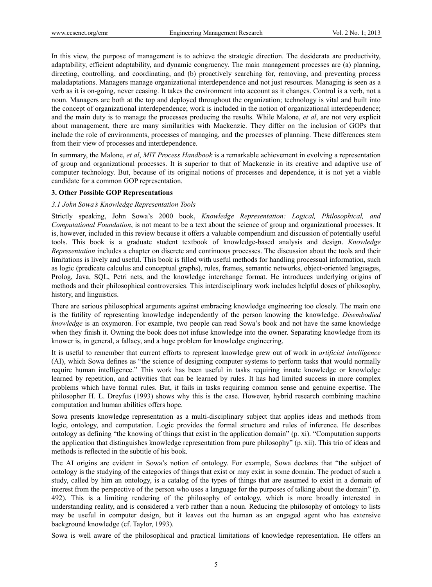In this view, the purpose of management is to achieve the strategic direction. The desiderata are productivity, adaptability, efficient adaptability, and dynamic congruency. The main management processes are (a) planning, directing, controlling, and coordinating, and (b) proactively searching for, removing, and preventing process maladaptations. Managers manage organizational interdependence and not just resources. Managing is seen as a verb as it is on-going, never ceasing. It takes the environment into account as it changes. Control is a verb, not a noun. Managers are both at the top and deployed throughout the organization; technology is vital and built into the concept of organizational interdependence; work is included in the notion of organizational interdependence; and the main duty is to manage the processes producing the results. While Malone, *et al*, are not very explicit about management, there are many similarities with Mackenzie. They differ on the inclusion of GOPs that include the role of environments, processes of managing, and the processes of planning. These differences stem from their view of processes and interdependence.

In summary, the Malone, *et al*, *MIT Process Handbook* is a remarkable achievement in evolving a representation of group and organizational processes. It is superior to that of Mackenzie in its creative and adaptive use of computer technology. But, because of its original notions of processes and dependence, it is not yet a viable candidate for a common GOP representation.

## **3. Other Possible GOP Representations**

## *3.1 John Sowa's Knowledge Representation Tools*

Strictly speaking, John Sowa's 2000 book, *Knowledge Representation: Logical, Philosophical, and Computational Foundation*, is not meant to be a text about the science of group and organizational processes. It is, however, included in this review because it offers a valuable compendium and discussion of potentially useful tools. This book is a graduate student textbook of knowledge-based analysis and design. *Knowledge Representation* includes a chapter on discrete and continuous processes. The discussion about the tools and their limitations is lively and useful. This book is filled with useful methods for handling processual information, such as logic (predicate calculus and conceptual graphs), rules, frames, semantic networks, object-oriented languages, Prolog, Java, SQL, Petri nets, and the knowledge interchange format. He introduces underlying origins of methods and their philosophical controversies. This interdisciplinary work includes helpful doses of philosophy, history, and linguistics.

There are serious philosophical arguments against embracing knowledge engineering too closely. The main one is the futility of representing knowledge independently of the person knowing the knowledge. *Disembodied knowledge* is an oxymoron. For example, two people can read Sowa's book and not have the same knowledge when they finish it. Owning the book does not infuse knowledge into the owner. Separating knowledge from its knower is, in general, a fallacy, and a huge problem for knowledge engineering.

It is useful to remember that current efforts to represent knowledge grew out of work in *artificial intelligence* (AI), which Sowa defines as "the science of designing computer systems to perform tasks that would normally require human intelligence." This work has been useful in tasks requiring innate knowledge or knowledge learned by repetition, and activities that can be learned by rules. It has had limited success in more complex problems which have formal rules. But, it fails in tasks requiring common sense and genuine expertise. The philosopher H. L. Dreyfus (1993) shows why this is the case. However, hybrid research combining machine computation and human abilities offers hope.

Sowa presents knowledge representation as a multi-disciplinary subject that applies ideas and methods from logic, ontology, and computation. Logic provides the formal structure and rules of inference. He describes ontology as defining "the knowing of things that exist in the application domain" (p. xi). "Computation supports the application that distinguishes knowledge representation from pure philosophy" (p. xii). This trio of ideas and methods is reflected in the subtitle of his book.

The AI origins are evident in Sowa's notion of ontology. For example, Sowa declares that "the subject of ontology is the studying of the categories of things that exist or may exist in some domain. The product of such a study, called by him an ontology, is a catalog of the types of things that are assumed to exist in a domain of interest from the perspective of the person who uses a language for the purposes of talking about the domain" (p. 492). This is a limiting rendering of the philosophy of ontology, which is more broadly interested in understanding reality, and is considered a verb rather than a noun. Reducing the philosophy of ontology to lists may be useful in computer design, but it leaves out the human as an engaged agent who has extensive background knowledge (cf. Taylor, 1993).

Sowa is well aware of the philosophical and practical limitations of knowledge representation. He offers an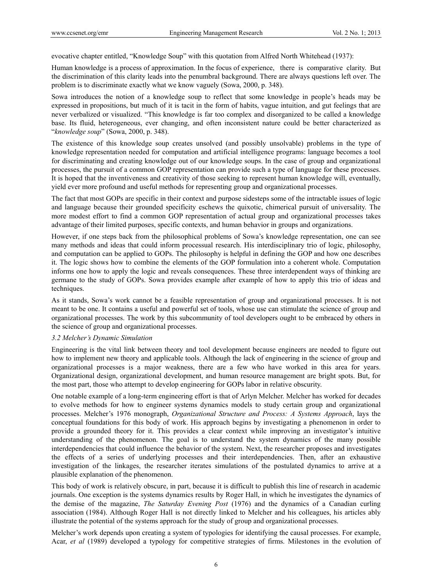evocative chapter entitled, "Knowledge Soup" with this quotation from Alfred North Whitehead (1937):

Human knowledge is a process of approximation. In the focus of experience, there is comparative clarity. But the discrimination of this clarity leads into the penumbral background. There are always questions left over. The problem is to discriminate exactly what we know vaguely (Sowa, 2000, p. 348).

Sowa introduces the notion of a knowledge soup to reflect that some knowledge in people's heads may be expressed in propositions, but much of it is tacit in the form of habits, vague intuition, and gut feelings that are never verbalized or visualized. "This knowledge is far too complex and disorganized to be called a knowledge base. Its fluid, heterogeneous, ever changing, and often inconsistent nature could be better characterized as "*knowledge soup*" (Sowa, 2000, p. 348).

The existence of this knowledge soup creates unsolved (and possibly unsolvable) problems in the type of knowledge representation needed for computation and artificial intelligence programs: language becomes a tool for discriminating and creating knowledge out of our knowledge soups. In the case of group and organizational processes, the pursuit of a common GOP representation can provide such a type of language for these processes. It is hoped that the inventiveness and creativity of those seeking to represent human knowledge will, eventually, yield ever more profound and useful methods for representing group and organizational processes.

The fact that most GOPs are specific in their context and purpose sidesteps some of the intractable issues of logic and language because their grounded specificity eschews the quixotic, chimerical pursuit of universality. The more modest effort to find a common GOP representation of actual group and organizational processes takes advantage of their limited purposes, specific contexts, and human behavior in groups and organizations.

However, if one steps back from the philosophical problems of Sowa's knowledge representation, one can see many methods and ideas that could inform processual research. His interdisciplinary trio of logic, philosophy, and computation can be applied to GOPs. The philosophy is helpful in defining the GOP and how one describes it. The logic shows how to combine the elements of the GOP formulation into a coherent whole. Computation informs one how to apply the logic and reveals consequences. These three interdependent ways of thinking are germane to the study of GOPs. Sowa provides example after example of how to apply this trio of ideas and techniques.

As it stands, Sowa's work cannot be a feasible representation of group and organizational processes. It is not meant to be one. It contains a useful and powerful set of tools, whose use can stimulate the science of group and organizational processes. The work by this subcommunity of tool developers ought to be embraced by others in the science of group and organizational processes.

# *3.2 Melcher's Dynamic Simulation*

Engineering is the vital link between theory and tool development because engineers are needed to figure out how to implement new theory and applicable tools. Although the lack of engineering in the science of group and organizational processes is a major weakness, there are a few who have worked in this area for years. Organizational design, organizational development, and human resource management are bright spots. But, for the most part, those who attempt to develop engineering for GOPs labor in relative obscurity.

One notable example of a long-term engineering effort is that of Arlyn Melcher. Melcher has worked for decades to evolve methods for how to engineer systems dynamics models to study certain group and organizational processes. Melcher's 1976 monograph, *Organizational Structure and Process: A Systems Approach*, lays the conceptual foundations for this body of work. His approach begins by investigating a phenomenon in order to provide a grounded theory for it. This provides a clear context while improving an investigator's intuitive understanding of the phenomenon. The goal is to understand the system dynamics of the many possible interdependencies that could influence the behavior of the system. Next, the researcher proposes and investigates the effects of a series of underlying processes and their interdependencies. Then, after an exhaustive investigation of the linkages, the researcher iterates simulations of the postulated dynamics to arrive at a plausible explanation of the phenomenon.

This body of work is relatively obscure, in part, because it is difficult to publish this line of research in academic journals. One exception is the systems dynamics results by Roger Hall, in which he investigates the dynamics of the demise of the magazine, *The Saturday Evening Post* (1976) and the dynamics of a Canadian curling association (1984). Although Roger Hall is not directly linked to Melcher and his colleagues, his articles ably illustrate the potential of the systems approach for the study of group and organizational processes.

Melcher's work depends upon creating a system of typologies for identifying the causal processes. For example, Acar, *et al* (1989) developed a typology for competitive strategies of firms. Milestones in the evolution of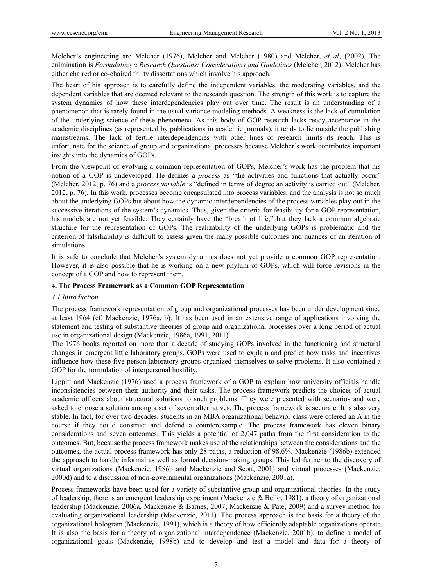Melcher's engineering are Melcher (1976), Melcher and Melcher (1980) and Melcher, *et al*, (2002). The culmination is *Formulating a Research Questions: Considerations and Guidelines* (Melcher, 2012). Melcher has either chaired or co-chaired thirty dissertations which involve his approach.

The heart of his approach is to carefully define the independent variables, the moderating variables, and the dependent variables that are deemed relevant to the research question. The strength of this work is to capture the system dynamics of how these interdependencies play out over time. The result is an understanding of a phenomenon that is rarely found in the usual variance modeling methods. A weakness is the lack of cumulation of the underlying science of these phenomena. As this body of GOP research lacks ready acceptance in the academic disciplines (as represented by publications in academic journals), it tends to lie outside the publishing mainstreams. The lack of fertile interdependencies with other lines of research limits its reach. This is unfortunate for the science of group and organizational processes because Melcher's work contributes important insights into the dynamics of GOPs.

From the viewpoint of evolving a common representation of GOPs, Melcher's work has the problem that his notion of a GOP is undeveloped. He defines a *process* as "the activities and functions that actually occur" (Melcher, 2012, p. 76) and a *process variable* is "defined in terms of degree an activity is carried out" (Melcher, 2012, p. 76). In this work, processes become encapsulated into process variables, and the analysis is not so much about the underlying GOPs but about how the dynamic interdependencies of the process variables play out in the successive iterations of the system's dynamics. Thus, given the criteria for feasibility for a GOP representation, his models are not yet feasible. They certainly have the "breath of life," but they lack a common algebraic structure for the representation of GOPs. The realizability of the underlying GOPs is problematic and the criterion of falsifiability is difficult to assess given the many possible outcomes and nuances of an iteration of simulations.

It is safe to conclude that Melcher's system dynamics does not yet provide a common GOP representation. However, it is also possible that he is working on a new phylum of GOPs, which will force revisions in the concept of a GOP and how to represent them.

# **4. The Process Framework as a Common GOP Representation**

# *4.1 Introduction*

The process framework representation of group and organizational processes has been under development since at least 1964 (cf. Mackenzie, 1976a, b). It has been used in an extensive range of applications involving the statement and testing of substantive theories of group and organizational processes over a long period of actual use in organizational design (Mackenzie, 1986a, 1991, 2011).

The 1976 books reported on more than a decade of studying GOPs involved in the functioning and structural changes in emergent little laboratory groups. GOPs were used to explain and predict how tasks and incentives influence how these five-person laboratory groups organized themselves to solve problems. It also contained a GOP for the formulation of interpersonal hostility.

Lippitt and Mackenzie (1976) used a process framework of a GOP to explain how university officials handle inconsistencies between their authority and their tasks. The process framework predicts the choices of actual academic officers about structural solutions to such problems. They were presented with scenarios and were asked to choose a solution among a set of seven alternatives. The process framework is accurate. It is also very stable. In fact, for over two decades, students in an MBA organizational behavior class were offered an A in the course if they could construct and defend a counterexample. The process framework has eleven binary considerations and seven outcomes. This yields a potential of 2,047 paths from the first consideration to the outcomes. But, because the process framework makes use of the relationships between the considerations and the outcomes, the actual process framework has only 28 paths, a reduction of 98.6%. Mackenzie (1986b) extended the approach to handle informal as well as formal decision-making groups. This led further to the discovery of virtual organizations (Mackenzie, 1986b and Mackenzie and Scott, 2001) and virtual processes (Mackenzie, 2000d) and to a discussion of non-governmental organizations (Mackenzie, 2001a).

Process frameworks have been used for a variety of substantive group and organizational theories. In the study of leadership, there is an emergent leadership experiment (Mackenzie & Bello, 1981), a theory of organizational leadership (Mackenzie, 2006a, Mackenzie & Barnes, 2007; Mackenzie & Pate, 2009) and a survey method for evaluating organizational leadership (Mackenzie, 2011). The process approach is the basis for a theory of the organizational hologram (Mackenzie, 1991), which is a theory of how efficiently adaptable organizations operate. It is also the basis for a theory of organizational interdependence (Mackenzie, 2001b), to define a model of organizational goals (Mackenzie, 1998b) and to develop and test a model and data for a theory of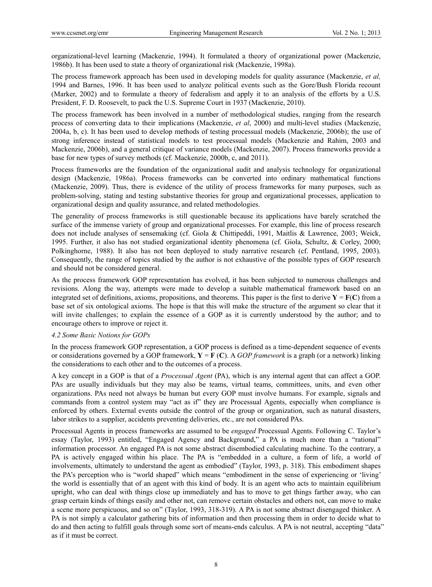organizational-level learning (Mackenzie, 1994). It formulated a theory of organizational power (Mackenzie, 1986b). It has been used to state a theory of organizational risk (Mackenzie, 1998a).

The process framework approach has been used in developing models for quality assurance (Mackenzie, *et al,*  1994 and Barnes, 1996. It has been used to analyze political events such as the Gore/Bush Florida recount (Marker, 2002) and to formulate a theory of federalism and apply it to an analysis of the efforts by a U.S. President, F. D. Roosevelt, to pack the U.S. Supreme Court in 1937 (Mackenzie, 2010).

The process framework has been involved in a number of methodological studies, ranging from the research process of converting data to their implications (Mackenzie, *et al*, 2000) and multi-level studies (Mackenzie, 2004a, b, c). It has been used to develop methods of testing processual models (Mackenzie, 2006b); the use of strong inference instead of statistical models to test processual models (Mackenzie and Rahim, 2003 and Mackenzie, 2006b), and a general critique of variance models (Mackenzie, 2007). Process frameworks provide a base for new types of survey methods (cf. Mackenzie, 2000b, c, and 2011).

Process frameworks are the foundation of the organizational audit and analysis technology for organizational design (Mackenzie, 1986a). Process frameworks can be converted into ordinary mathematical functions (Mackenzie, 2009). Thus, there is evidence of the utility of process frameworks for many purposes, such as problem-solving, stating and testing substantive theories for group and organizational processes, application to organizational design and quality assurance, and related methodologies.

The generality of process frameworks is still questionable because its applications have barely scratched the surface of the immense variety of group and organizational processes. For example, this line of process research does not include analyses of sensemaking (cf. Giola & Chittipeddi, 1991, Maitlis & Lawrence, 2003; Weick, 1995. Further, it also has not studied organizational identity phenomena (cf. Giola, Schultz, & Corley, 2000; Polkinghorne, 1988). It also has not been deployed to study narrative research (cf. Pentland, 1995, 2003). Consequently, the range of topics studied by the author is not exhaustive of the possible types of GOP research and should not be considered general.

As the process framework GOP representation has evolved, it has been subjected to numerous challenges and revisions. Along the way, attempts were made to develop a suitable mathematical framework based on an integrated set of definitions, axioms, propositions, and theorems. This paper is the first to derive  $Y = F(C)$  from a base set of six ontological axioms. The hope is that this will make the structure of the argument so clear that it will invite challenges; to explain the essence of a GOP as it is currently understood by the author; and to encourage others to improve or reject it.

#### *4.2 Some Basic Notions for GOPs*

In the process framework GOP representation, a GOP process is defined as a time-dependent sequence of events or considerations governed by a GOP framework,  $Y = F(C)$ . A *GOP framework* is a graph (or a network) linking the considerations to each other and to the outcomes of a process.

A key concept in a GOP is that of a *Processual Agent* (PA), which is any internal agent that can affect a GOP. PAs are usually individuals but they may also be teams, virtual teams, committees, units, and even other organizations. PAs need not always be human but every GOP must involve humans. For example, signals and commands from a control system may "act as if" they are Processual Agents, especially when compliance is enforced by others. External events outside the control of the group or organization, such as natural disasters, labor strikes to a supplier, accidents preventing deliveries, etc., are not considered PAs.

Processual Agents in process frameworks are assumed to be *engaged* Processual Agents. Following C. Taylor's essay (Taylor, 1993) entitled, "Engaged Agency and Background," a PA is much more than a "rational" information processor. An engaged PA is not some abstract disembodied calculating machine. To the contrary, a PA is actively engaged within his place. The PA is "embedded in a culture, a form of life, a world of involvements, ultimately to understand the agent as embodied" (Taylor, 1993, p. 318). This embodiment shapes the PA's perception who is "world shaped" which means "embodiment in the sense of experiencing or 'living' the world is essentially that of an agent with this kind of body. It is an agent who acts to maintain equilibrium upright, who can deal with things close up immediately and has to move to get things farther away, who can grasp certain kinds of things easily and other not, can remove certain obstacles and others not, can move to make a scene more perspicuous, and so on" (Taylor, 1993, 318-319). A PA is not some abstract disengaged thinker. A PA is not simply a calculator gathering bits of information and then processing them in order to decide what to do and then acting to fulfill goals through some sort of means-ends calculus. A PA is not neutral, accepting "data" as if it must be correct.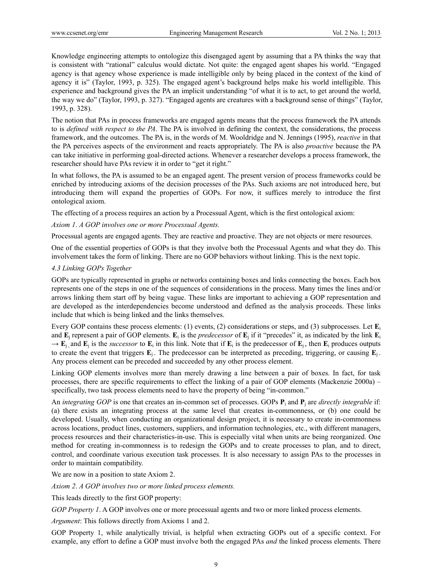Knowledge engineering attempts to ontologize this disengaged agent by assuming that a PA thinks the way that is consistent with "rational" calculus would dictate. Not quite: the engaged agent shapes his world. "Engaged agency is that agency whose experience is made intelligible only by being placed in the context of the kind of agency it is" (Taylor, 1993, p. 325). The engaged agent's background helps make his world intelligible. This experience and background gives the PA an implicit understanding "of what it is to act, to get around the world, the way we do" (Taylor, 1993, p. 327). "Engaged agents are creatures with a background sense of things" (Taylor, 1993, p. 328).

The notion that PAs in process frameworks are engaged agents means that the process framework the PA attends to is *defined with respect to the PA*. The PA is involved in defining the context, the considerations, the process framework, and the outcomes. The PA is, in the words of M. Wooldridge and N. Jennings (1995), *reactive* in that the PA perceives aspects of the environment and reacts appropriately. The PA is also *proactive* because the PA can take initiative in performing goal-directed actions. Whenever a researcher develops a process framework, the researcher should have PAs review it in order to "get it right."

In what follows, the PA is assumed to be an engaged agent. The present version of process frameworks could be enriched by introducing axioms of the decision processes of the PAs. Such axioms are not introduced here, but introducing them will expand the properties of GOPs. For now, it suffices merely to introduce the first ontological axiom.

The effecting of a process requires an action by a Processual Agent, which is the first ontological axiom:

# *Axiom 1*. *A GOP involves one or more Processual Agents.*

Processual agents are engaged agents. They are reactive and proactive. They are not objects or mere resources.

One of the essential properties of GOPs is that they involve both the Processual Agents and what they do. This involvement takes the form of linking. There are no GOP behaviors without linking. This is the next topic.

## *4.3 Linking GOPs Together*

GOPs are typically represented in graphs or networks containing boxes and links connecting the boxes. Each box represents one of the steps in one of the sequences of considerations in the process. Many times the lines and/or arrows linking them start off by being vague. These links are important to achieving a GOP representation and are developed as the interdependencies become understood and defined as the analysis proceeds. These links include that which is being linked and the links themselves.

Every GOP contains these process elements: (1) events, (2) considerations or steps, and (3) subprocesses. Let **E**<sup>i</sup> and  $\mathbf{E}_i$  represent a pair of GOP elements.  $\mathbf{E}_i$  is the *predecessor* of  $\mathbf{E}_i$  if it "precedes" it, as indicated by the link  $\mathbf{E}_i$  $\rightarrow$  **E**<sub>j</sub>, and **E**<sub>j</sub> is the *successor* to **E**<sub>i</sub> in this link. Note that if **E**<sub>i</sub> is the predecessor of **E**<sub>i</sub>, then **E**<sub>i</sub> produces outputs to create the event that triggers  $\mathbf{E}_i$ . The predecessor can be interpreted as preceding, triggering, or causing  $\mathbf{E}_i$ . Any process element can be preceded and succeeded by any other process element.

Linking GOP elements involves more than merely drawing a line between a pair of boxes. In fact, for task processes, there are specific requirements to effect the linking of a pair of GOP elements (Mackenzie 2000a) – specifically, two task process elements need to have the property of being "in-common."

An *integrating GOP* is one that creates an in-common set of processes. GOPs **P**i and **P**j are *directly integrable* if: (a) there exists an integrating process at the same level that creates in-commonness, or (b) one could be developed. Usually, when conducting an organizational design project, it is necessary to create in-commonness across locations, product lines, customers, suppliers, and information technologies, etc., with different managers, process resources and their characteristics-in-use. This is especially vital when units are being reorganized. One method for creating in-commonness is to redesign the GOPs and to create processes to plan, and to direct, control, and coordinate various execution task processes. It is also necessary to assign PAs to the processes in order to maintain compatibility.

We are now in a position to state Axiom 2.

*Axiom 2*. *A GOP involves two or more linked process elements.*

This leads directly to the first GOP property:

*GOP Property 1*. A GOP involves one or more processual agents and two or more linked process elements.

*Argument*: This follows directly from Axioms 1 and 2.

GOP Property 1, while analytically trivial, is helpful when extracting GOPs out of a specific context. For example, any effort to define a GOP must involve both the engaged PAs *and* the linked process elements. There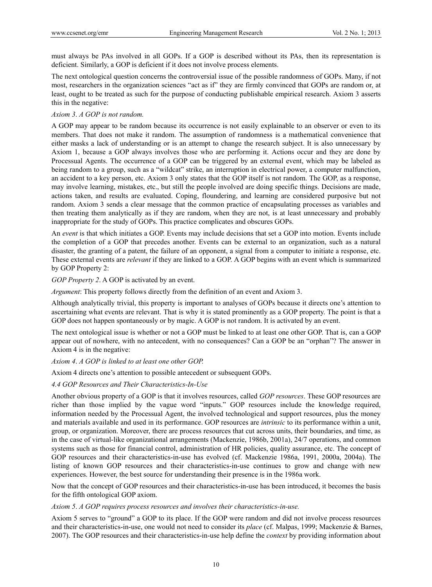must always be PAs involved in all GOPs. If a GOP is described without its PAs, then its representation is deficient. Similarly, a GOP is deficient if it does not involve process elements.

The next ontological question concerns the controversial issue of the possible randomness of GOPs. Many, if not most, researchers in the organization sciences "act as if" they are firmly convinced that GOPs are random or, at least, ought to be treated as such for the purpose of conducting publishable empirical research. Axiom 3 asserts this in the negative:

# *Axiom 3*. *A GOP is not random.*

A GOP may appear to be random because its occurrence is not easily explainable to an observer or even to its members. That does not make it random. The assumption of randomness is a mathematical convenience that either masks a lack of understanding or is an attempt to change the research subject. It is also unnecessary by Axiom 1, because a GOP always involves those who are performing it. Actions occur and they are done by Processual Agents. The occurrence of a GOP can be triggered by an external event, which may be labeled as being random to a group, such as a "wildcat" strike, an interruption in electrical power, a computer malfunction, an accident to a key person, etc. Axiom 3 only states that the GOP itself is not random. The GOP, as a response, may involve learning, mistakes, etc., but still the people involved are doing specific things. Decisions are made, actions taken, and results are evaluated. Coping, floundering, and learning are considered purposive but not random. Axiom 3 sends a clear message that the common practice of encapsulating processes as variables and then treating them analytically as if they are random, when they are not, is at least unnecessary and probably inappropriate for the study of GOPs. This practice complicates and obscures GOPs.

An *event* is that which initiates a GOP. Events may include decisions that set a GOP into motion. Events include the completion of a GOP that precedes another. Events can be external to an organization, such as a natural disaster, the granting of a patent, the failure of an opponent, a signal from a computer to initiate a response, etc. These external events are *relevant* if they are linked to a GOP. A GOP begins with an event which is summarized by GOP Property 2:

## *GOP Property 2*. A GOP is activated by an event.

*Argument*: This property follows directly from the definition of an event and Axiom 3.

Although analytically trivial, this property is important to analyses of GOPs because it directs one's attention to ascertaining what events are relevant. That is why it is stated prominently as a GOP property. The point is that a GOP does not happen spontaneously or by magic. A GOP is not random. It is activated by an event.

The next ontological issue is whether or not a GOP must be linked to at least one other GOP. That is, can a GOP appear out of nowhere, with no antecedent, with no consequences? Can a GOP be an "orphan"? The answer in Axiom 4 is in the negative:

# *Axiom 4*. *A GOP is linked to at least one other GOP.*

Axiom 4 directs one's attention to possible antecedent or subsequent GOPs.

# *4.4 GOP Resources and Their Characteristics-In-Use*

Another obvious property of a GOP is that it involves resources, called *GOP resources*. These GOP resources are richer than those implied by the vague word "inputs." GOP resources include the knowledge required, information needed by the Processual Agent, the involved technological and support resources, plus the money and materials available and used in its performance. GOP resources are *intrinsic* to its performance within a unit, group, or organization. Moreover, there are process resources that cut across units, their boundaries, and time, as in the case of virtual-like organizational arrangements (Mackenzie, 1986b, 2001a), 24/7 operations, and common systems such as those for financial control, administration of HR policies, quality assurance, etc. The concept of GOP resources and their characteristics-in-use has evolved (cf. Mackenzie 1986a, 1991, 2000a, 2004a). The listing of known GOP resources and their characteristics-in-use continues to grow and change with new experiences. However, the best source for understanding their presence is in the 1986a work.

Now that the concept of GOP resources and their characteristics-in-use has been introduced, it becomes the basis for the fifth ontological GOP axiom.

#### *Axiom 5*. *A GOP requires process resources and involves their characteristics-in-use.*

Axiom 5 serves to "ground" a GOP to its place. If the GOP were random and did not involve process resources and their characteristics-in-use, one would not need to consider its *place* (cf. Malpas, 1999; Mackenzie & Barnes, 2007). The GOP resources and their characteristics-in-use help define the *context* by providing information about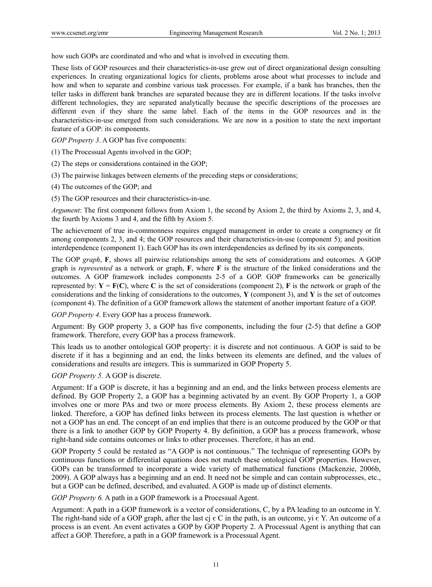how such GOPs are coordinated and who and what is involved in executing them.

These lists of GOP resources and their characteristics-in-use grew out of direct organizational design consulting experiences. In creating organizational logics for clients, problems arose about what processes to include and how and when to separate and combine various task processes. For example, if a bank has branches, then the teller tasks in different bank branches are separated because they are in different locations. If the tasks involve different technologies, they are separated analytically because the specific descriptions of the processes are different even if they share the same label. Each of the items in the GOP resources and in the characteristics-in-use emerged from such considerations. We are now in a position to state the next important feature of a GOP: its components.

*GOP Property 3*. A GOP has five components:

(1) The Processual Agents involved in the GOP;

(2) The steps or considerations contained in the GOP;

(3) The pairwise linkages between elements of the preceding steps or considerations;

(4) The outcomes of the GOP; and

(5) The GOP resources and their characteristics-in-use.

*Argument*: The first component follows from Axiom 1, the second by Axiom 2, the third by Axioms 2, 3, and 4, the fourth by Axioms 3 and 4, and the fifth by Axiom 5.

The achievement of true in-commonness requires engaged management in order to create a congruency or fit among components 2, 3, and 4; the GOP resources and their characteristics-in-use (component 5); and position interdependence (component 1). Each GOP has its own interdependencies as defined by its six components.

The GOP *graph*, **F**, shows all pairwise relationships among the sets of considerations and outcomes. A GOP graph is *represented* as a network or graph, **F**, where **F** is the structure of the linked considerations and the outcomes. A GOP framework includes components 2-5 of a GOP. GOP frameworks can be generically represented by:  $Y = F(C)$ , where C is the set of considerations (component 2), F is the network or graph of the considerations and the linking of considerations to the outcomes, **Y** (component 3), and **Y** is the set of outcomes (component 4). The definition of a GOP framework allows the statement of another important feature of a GOP.

*GOP Property 4*. Every GOP has a process framework.

Argument: By GOP property 3, a GOP has five components, including the four (2-5) that define a GOP framework. Therefore, every GOP has a process framework.

This leads us to another ontological GOP property: it is discrete and not continuous. A GOP is said to be discrete if it has a beginning and an end, the links between its elements are defined, and the values of considerations and results are integers. This is summarized in GOP Property 5.

*GOP Property 5.* A GOP is discrete.

Argument: If a GOP is discrete, it has a beginning and an end, and the links between process elements are defined. By GOP Property 2, a GOP has a beginning activated by an event. By GOP Property 1, a GOP involves one or more PAs and two or more process elements. By Axiom 2, these process elements are linked. Therefore, a GOP has defined links between its process elements. The last question is whether or not a GOP has an end. The concept of an end implies that there is an outcome produced by the GOP or that there is a link to another GOP by GOP Property 4. By definition, a GOP has a process framework, whose right-hand side contains outcomes or links to other processes. Therefore, it has an end.

GOP Property 5 could be restated as "A GOP is not continuous." The technique of representing GOPs by continuous functions or differential equations does not match these ontological GOP properties. However, GOPs can be transformed to incorporate a wide variety of mathematical functions (Mackenzie, 2006b, 2009). A GOP always has a beginning and an end. It need not be simple and can contain subprocesses, etc., but a GOP can be defined, described, and evaluated. A GOP is made up of distinct elements.

*GOP Property 6.* A path in a GOP framework is a Processual Agent.

Argument: A path in a GOP framework is a vector of considerations, C, by a PA leading to an outcome in Y. The right-hand side of a GOP graph, after the last cj  $\epsilon$  C in the path, is an outcome, yi  $\epsilon$  Y. An outcome of a process is an event. An event activates a GOP by GOP Property 2. A Processual Agent is anything that can affect a GOP. Therefore, a path in a GOP framework is a Processual Agent.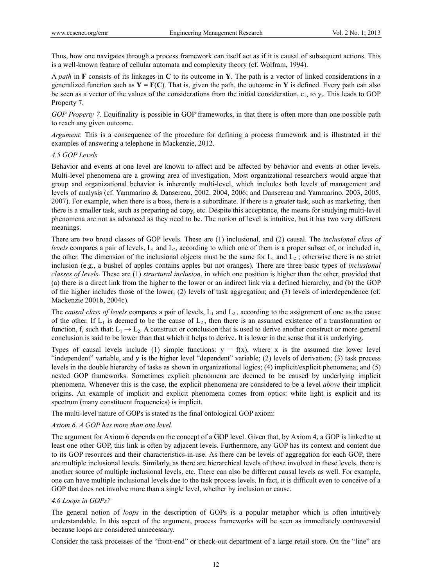Thus, how one navigates through a process framework can itself act as if it is causal of subsequent actions. This is a well-known feature of cellular automata and complexity theory (cf. Wolfram, 1994).

A *path* in **F** consists of its linkages in **C** to its outcome in **Y**. The path is a vector of linked considerations in a generalized function such as  $Y = F(C)$ . That is, given the path, the outcome in Y is defined. Every path can also be seen as a vector of the values of the considerations from the initial consideration,  $c_1$ , to  $v_i$ . This leads to GOP Property 7.

*GOP Property 7.* Equifinality is possible in GOP frameworks, in that there is often more than one possible path to reach any given outcome.

*Argument*: This is a consequence of the procedure for defining a process framework and is illustrated in the examples of answering a telephone in Mackenzie, 2012.

# *4.5 GOP Levels*

Behavior and events at one level are known to affect and be affected by behavior and events at other levels. Multi-level phenomena are a growing area of investigation. Most organizational researchers would argue that group and organizational behavior is inherently multi-level, which includes both levels of management and levels of analysis (cf. Yammarino & Dansereau, 2002, 2004, 2006; and Dansereau and Yammarino, 2003, 2005, 2007). For example, when there is a boss, there is a subordinate. If there is a greater task, such as marketing, then there is a smaller task, such as preparing ad copy, etc. Despite this acceptance, the means for studying multi-level phenomena are not as advanced as they need to be. The notion of level is intuitive, but it has two very different meanings.

There are two broad classes of GOP levels. These are (1) inclusional, and (2) causal. The *inclusional class of levels* compares a pair of levels,  $L_1$  and  $L_2$ , according to which one of them is a proper subset of, or included in, the other. The dimension of the inclusional objects must be the same for  $L_1$  and  $L_2$ ; otherwise there is no strict inclusion (e.g., a bushel of apples contains apples but not oranges). There are three basic types of *inclusional classes of levels*. These are (1) *structural inclusion*, in which one position is higher than the other, provided that (a) there is a direct link from the higher to the lower or an indirect link via a defined hierarchy, and (b) the GOP of the higher includes those of the lower; (2) levels of task aggregation; and (3) levels of interdependence (cf. Mackenzie 2001b, 2004c).

The *causal class of levels* compares a pair of levels,  $L_1$  and  $L_2$ , according to the assignment of one as the cause of the other. If  $L_1$  is deemed to be the cause of  $L_2$ , then there is an assumed existence of a transformation or function, f, such that:  $L_1 \rightarrow L_2$ . A construct or conclusion that is used to derive another construct or more general conclusion is said to be lower than that which it helps to derive. It is lower in the sense that it is underlying.

Types of causal levels include (1) simple functions:  $y = f(x)$ , where x is the assumed the lower level "independent" variable, and y is the higher level "dependent" variable; (2) levels of derivation; (3) task process levels in the double hierarchy of tasks as shown in organizational logics; (4) implicit/explicit phenomena; and (5) nested GOP frameworks. Sometimes explicit phenomena are deemed to be caused by underlying implicit phenomena. Whenever this is the case, the explicit phenomena are considered to be a level *above* their implicit origins. An example of implicit and explicit phenomena comes from optics: white light is explicit and its spectrum (many constituent frequencies) is implicit.

The multi-level nature of GOPs is stated as the final ontological GOP axiom:

# *Axiom 6*. *A GOP has more than one level.*

The argument for Axiom 6 depends on the concept of a GOP level. Given that, by Axiom 4, a GOP is linked to at least one other GOP, this link is often by adjacent levels. Furthermore, any GOP has its context and content due to its GOP resources and their characteristics-in-use. As there can be levels of aggregation for each GOP, there are multiple inclusional levels. Similarly, as there are hierarchical levels of those involved in these levels, there is another source of multiple inclusional levels, etc. There can also be different causal levels as well. For example, one can have multiple inclusional levels due to the task process levels. In fact, it is difficult even to conceive of a GOP that does not involve more than a single level, whether by inclusion or cause.

# *4.6 Loops in GOPs?*

The general notion of *loops* in the description of GOPs is a popular metaphor which is often intuitively understandable. In this aspect of the argument, process frameworks will be seen as immediately controversial because loops are considered unnecessary.

Consider the task processes of the "front-end" or check-out department of a large retail store. On the "line" are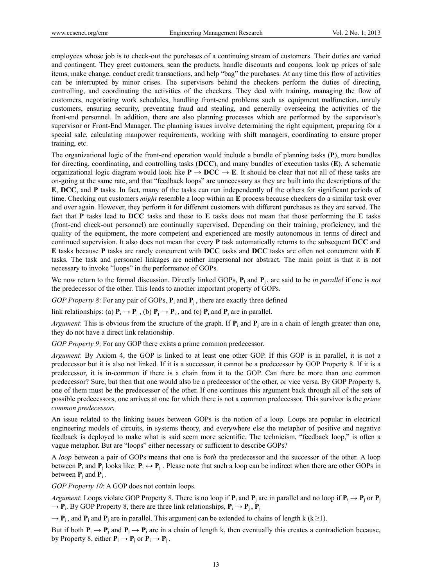employees whose job is to check-out the purchases of a continuing stream of customers. Their duties are varied and contingent. They greet customers, scan the products, handle discounts and coupons, look up prices of sale items, make change, conduct credit transactions, and help "bag" the purchases. At any time this flow of activities can be interrupted by minor crises. The supervisors behind the checkers perform the duties of directing, controlling, and coordinating the activities of the checkers. They deal with training, managing the flow of customers, negotiating work schedules, handling front-end problems such as equipment malfunction, unruly customers, ensuring security, preventing fraud and stealing, and generally overseeing the activities of the front-end personnel. In addition, there are also planning processes which are performed by the supervisor's supervisor or Front-End Manager. The planning issues involve determining the right equipment, preparing for a special sale, calculating manpower requirements, working with shift managers, coordinating to ensure proper training, etc.

The organizational logic of the front-end operation would include a bundle of planning tasks (**P**), more bundles for directing, coordinating, and controlling tasks (**DCC**), and many bundles of execution tasks (**E**). A schematic organizational logic diagram would look like  $P \to DCC \to E$ . It should be clear that not all of these tasks are on-going at the same rate, and that "feedback loops" are unnecessary as they are built into the descriptions of the **E**, **DCC**, and **P** tasks. In fact, many of the tasks can run independently of the others for significant periods of time. Checking out customers *might* resemble a loop within an **E** process because checkers do a similar task over and over again. However, they perform it for different customers with different purchases as they are served. The fact that **P** tasks lead to **DCC** tasks and these to **E** tasks does not mean that those performing the **E** tasks (front-end check-out personnel) are continually supervised. Depending on their training, proficiency, and the quality of the equipment, the more competent and experienced are mostly autonomous in terms of direct and continued supervision. It also does not mean that every **P** task automatically returns to the subsequent **DCC** and **E** tasks because **P** tasks are rarely concurrent with **DCC** tasks and **DCC** tasks are often not concurrent with **E** tasks. The task and personnel linkages are neither impersonal nor abstract. The main point is that it is not necessary to invoke "loops" in the performance of GOPs.

We now return to the formal discussion. Directly linked GOPs, **P**<sub>i</sub> and **P**<sub>i</sub>, are said to be *in parallel* if one is *not* the predecessor of the other. This leads to another important property of GOPs.

*GOP Property 8*: For any pair of GOPs,  $P_i$  and  $P_j$ , there are exactly three defined

link relationships: (a)  $P_i \rightarrow P_j$ , (b)  $P_i \rightarrow P_j$ , and (c)  $P_i$  and  $P_j$  are in parallel.

*Argument*: This is obvious from the structure of the graph. If **P**i and **P**j are in a chain of length greater than one, they do not have a direct link relationship.

*GOP Property 9*: For any GOP there exists a prime common predecessor.

*Argument*: By Axiom 4, the GOP is linked to at least one other GOP. If this GOP is in parallel, it is not a predecessor but it is also not linked. If it is a successor, it cannot be a predecessor by GOP Property 8. If it is a predecessor, it is in-common if there is a chain from it to the GOP. Can there be more than one common predecessor? Sure, but then that one would also be a predecessor of the other, or vice versa. By GOP Property 8, one of them must be the predecessor of the other. If one continues this argument back through all of the sets of possible predecessors, one arrives at one for which there is not a common predecessor. This survivor is the *prime common predecessor*.

An issue related to the linking issues between GOPs is the notion of a loop. Loops are popular in electrical engineering models of circuits, in systems theory, and everywhere else the metaphor of positive and negative feedback is deployed to make what is said seem more scientific. The technicism, "feedback loop," is often a vague metaphor. But are "loops" either necessary or sufficient to describe GOPs?

A *loop* between a pair of GOPs means that one is *both* the predecessor and the successor of the other. A loop between  $P_i$  and  $P_j$  looks like:  $P_i \leftrightarrow P_j$ . Please note that such a loop can be indirect when there are other GOPs in between  $P_i$  and  $P_i$ .

*GOP Property 10*: A GOP does not contain loops.

*Argument*: Loops violate GOP Property 8. There is no loop if  $P_i$  and  $P_j$  are in parallel and no loop if  $P_i \rightarrow P_j$  or  $P_j$  $\rightarrow$  **P**<sub>i</sub>. By GOP Property 8, there are three link relationships,  $P_i \rightarrow P_j$ ,  $P_j$ 

 $\rightarrow$  **P**<sub>i</sub>, and **P**<sub>i</sub> and **P**<sub>i</sub> are in parallel. This argument can be extended to chains of length k (k  $\geq$ 1).

But if both  $P_i \rightarrow P_j$  and  $P_j \rightarrow P_j$  are in a chain of length k, then eventually this creates a contradiction because, by Property 8, either  $P_i \rightarrow P_j$  or  $P_i \rightarrow P_j$ .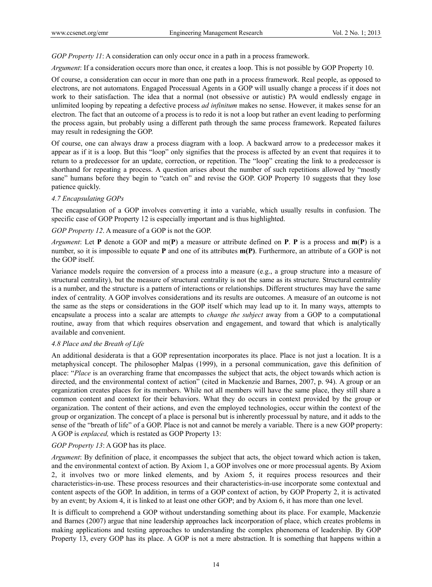# *GOP Property 11*: A consideration can only occur once in a path in a process framework.

*Argument*: If a consideration occurs more than once, it creates a loop. This is not possible by GOP Property 10.

Of course, a consideration can occur in more than one path in a process framework. Real people, as opposed to electrons, are not automatons. Engaged Processual Agents in a GOP will usually change a process if it does not work to their satisfaction. The idea that a normal (not obsessive or autistic) PA would endlessly engage in unlimited looping by repeating a defective process *ad infinitum* makes no sense. However, it makes sense for an electron. The fact that an outcome of a process is to redo it is not a loop but rather an event leading to performing the process again, but probably using a different path through the same process framework. Repeated failures may result in redesigning the GOP.

Of course, one can always draw a process diagram with a loop. A backward arrow to a predecessor makes it appear as if it is a loop. But this "loop" only signifies that the process is affected by an event that requires it to return to a predecessor for an update, correction, or repetition. The "loop" creating the link to a predecessor is shorthand for repeating a process. A question arises about the number of such repetitions allowed by "mostly sane" humans before they begin to "catch on" and revise the GOP. GOP Property 10 suggests that they lose patience quickly.

# *4.7 Encapsulating GOPs*

The encapsulation of a GOP involves converting it into a variable, which usually results in confusion. The specific case of GOP Property 12 is especially important and is thus highlighted.

# *GOP Property 12*. A measure of a GOP is not the GOP.

*Argument*: Let **P** denote a GOP and m(**P**) a measure or attribute defined on **P**. **P** is a process and **m**(**P**) is a number, so it is impossible to equate **P** and one of its attributes **m(P)**. Furthermore, an attribute of a GOP is not the GOP itself.

Variance models require the conversion of a process into a measure (e.g., a group structure into a measure of structural centrality), but the measure of structural centrality is not the same as its structure. Structural centrality is a number, and the structure is a pattern of interactions or relationships. Different structures may have the same index of centrality. A GOP involves considerations and its results are outcomes. A measure of an outcome is not the same as the steps or considerations in the GOP itself which may lead up to it. In many ways, attempts to encapsulate a process into a scalar are attempts to *change the subject* away from a GOP to a computational routine, away from that which requires observation and engagement, and toward that which is analytically available and convenient.

# *4.8 Place and the Breath of Life*

An additional desiderata is that a GOP representation incorporates its place. Place is not just a location. It is a metaphysical concept. The philosopher Malpas (1999), in a personal communication, gave this definition of place: "*Place* is an overarching frame that encompasses the subject that acts, the object towards which action is directed, and the environmental context of action" (cited in Mackenzie and Barnes, 2007, p. 94). A group or an organization creates places for its members. While not all members will have the same place, they still share a common content and context for their behaviors. What they do occurs in context provided by the group or organization. The content of their actions, and even the employed technologies, occur within the context of the group or organization. The concept of a place is personal but is inherently processual by nature, and it adds to the sense of the "breath of life" of a GOP. Place is not and cannot be merely a variable. There is a new GOP property: A GOP is *enplaced,* which is restated as GOP Property 13:

# *GOP Property 13*: A GOP has its place.

*Argument*: By definition of place, it encompasses the subject that acts, the object toward which action is taken, and the environmental context of action. By Axiom 1, a GOP involves one or more processual agents. By Axiom 2, it involves two or more linked elements, and by Axiom 5, it requires process resources and their characteristics-in-use. These process resources and their characteristics-in-use incorporate some contextual and content aspects of the GOP. In addition, in terms of a GOP context of action, by GOP Property 2, it is activated by an event; by Axiom 4, it is linked to at least one other GOP; and by Axiom 6, it has more than one level.

It is difficult to comprehend a GOP without understanding something about its place. For example, Mackenzie and Barnes (2007) argue that nine leadership approaches lack incorporation of place, which creates problems in making applications and testing approaches to understanding the complex phenomena of leadership. By GOP Property 13, every GOP has its place. A GOP is not a mere abstraction. It is something that happens within a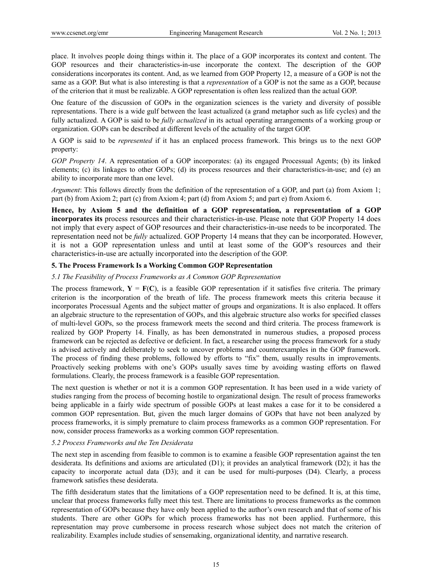place. It involves people doing things within it. The place of a GOP incorporates its context and content. The GOP resources and their characteristics-in-use incorporate the context. The description of the GOP considerations incorporates its content. And, as we learned from GOP Property 12, a measure of a GOP is not the same as a GOP. But what is also interesting is that a *representation* of a GOP is not the same as a GOP, because of the criterion that it must be realizable. A GOP representation is often less realized than the actual GOP.

One feature of the discussion of GOPs in the organization sciences is the variety and diversity of possible representations. There is a wide gulf between the least actualized (a grand metaphor such as life cycles) and the fully actualized. A GOP is said to be *fully actualized* in its actual operating arrangements of a working group or organization. GOPs can be described at different levels of the actuality of the target GOP.

A GOP is said to be *represented* if it has an enplaced process framework. This brings us to the next GOP property:

*GOP Property 14.* A representation of a GOP incorporates: (a) its engaged Processual Agents; (b) its linked elements; (c) its linkages to other GOPs; (d) its process resources and their characteristics-in-use; and (e) an ability to incorporate more than one level.

*Argument*: This follows directly from the definition of the representation of a GOP, and part (a) from Axiom 1; part (b) from Axiom 2; part (c) from Axiom 4; part (d) from Axiom 5; and part e) from Axiom 6.

**Hence, by Axiom 5 and the definition of a GOP representation, a representation of a GOP incorporates its** process resources and their characteristics-in-use. Please note that GOP Property 14 does not imply that every aspect of GOP resources and their characteristics-in-use needs to be incorporated. The representation need not be *fully* actualized. GOP Property 14 means that they can be incorporated. However, it is not a GOP representation unless and until at least some of the GOP's resources and their characteristics-in-use are actually incorporated into the description of the GOP.

# **5. The Process Framework Is a Working Common GOP Representation**

# *5.1 The Feasibility of Process Frameworks as A Common GOP Representation*

The process framework,  $Y = F(C)$ , is a feasible GOP representation if it satisfies five criteria. The primary criterion is the incorporation of the breath of life. The process framework meets this criteria because it incorporates Processual Agents and the subject matter of groups and organizations. It is also enplaced. It offers an algebraic structure to the representation of GOPs, and this algebraic structure also works for specified classes of multi-level GOPs, so the process framework meets the second and third criteria. The process framework is realized by GOP Property 14. Finally, as has been demonstrated in numerous studies, a proposed process framework can be rejected as defective or deficient. In fact, a researcher using the process framework for a study is advised actively and deliberately to seek to uncover problems and counterexamples in the GOP framework. The process of finding these problems, followed by efforts to "fix" them, usually results in improvements. Proactively seeking problems with one's GOPs usually saves time by avoiding wasting efforts on flawed formulations. Clearly, the process framework is a feasible GOP representation.

The next question is whether or not it is a common GOP representation. It has been used in a wide variety of studies ranging from the process of becoming hostile to organizational design. The result of process frameworks being applicable in a fairly wide spectrum of possible GOPs at least makes a case for it to be considered a common GOP representation. But, given the much larger domains of GOPs that have not been analyzed by process frameworks, it is simply premature to claim process frameworks as a common GOP representation. For now, consider process frameworks as a working common GOP representation.

# *5.2 Process Frameworks and the Ten Desiderata*

The next step in ascending from feasible to common is to examine a feasible GOP representation against the ten desiderata. Its definitions and axioms are articulated (D1); it provides an analytical framework (D2); it has the capacity to incorporate actual data (D3); and it can be used for multi-purposes (D4). Clearly, a process framework satisfies these desiderata.

The fifth desideratum states that the limitations of a GOP representation need to be defined. It is, at this time, unclear that process frameworks fully meet this test. There are limitations to process frameworks as the common representation of GOPs because they have only been applied to the author's own research and that of some of his students. There are other GOPs for which process frameworks has not been applied. Furthermore, this representation may prove cumbersome in process research whose subject does not match the criterion of realizability. Examples include studies of sensemaking, organizational identity, and narrative research.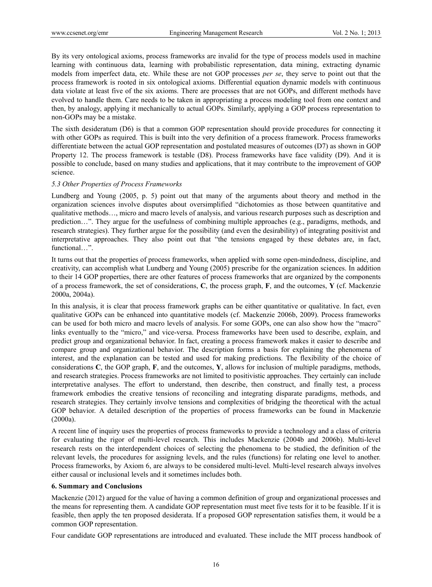By its very ontological axioms, process frameworks are invalid for the type of process models used in machine learning with continuous data, learning with probabilistic representation, data mining, extracting dynamic models from imperfect data, etc. While these are not GOP processes *per se*, they serve to point out that the process framework is rooted in six ontological axioms. Differential equation dynamic models with continuous data violate at least five of the six axioms. There are processes that are not GOPs, and different methods have evolved to handle them. Care needs to be taken in appropriating a process modeling tool from one context and then, by analogy, applying it mechanically to actual GOPs. Similarly, applying a GOP process representation to non-GOPs may be a mistake.

The sixth desideratum (D6) is that a common GOP representation should provide procedures for connecting it with other GOPs as required. This is built into the very definition of a process framework. Process frameworks differentiate between the actual GOP representation and postulated measures of outcomes (D7) as shown in GOP Property 12. The process framework is testable (D8). Process frameworks have face validity (D9). And it is possible to conclude, based on many studies and applications, that it may contribute to the improvement of GOP science.

# *5.3 Other Properties of Process Frameworks*

Lundberg and Young (2005, p. 5) point out that many of the arguments about theory and method in the organization sciences involve disputes about oversimplified "dichotomies as those between quantitative and qualitative methods…, micro and macro levels of analysis, and various research purposes such as description and prediction…". They argue for the usefulness of combining multiple approaches (e.g., paradigms, methods, and research strategies). They further argue for the possibility (and even the desirability) of integrating positivist and interpretative approaches. They also point out that "the tensions engaged by these debates are, in fact, functional…".

It turns out that the properties of process frameworks, when applied with some open-mindedness, discipline, and creativity, can accomplish what Lundberg and Young (2005) prescribe for the organization sciences. In addition to their 14 GOP properties, there are other features of process frameworks that are organized by the components of a process framework, the set of considerations, **C**, the process graph, **F**, and the outcomes, **Y** (cf. Mackenzie 2000a, 2004a).

In this analysis, it is clear that process framework graphs can be either quantitative or qualitative. In fact, even qualitative GOPs can be enhanced into quantitative models (cf. Mackenzie 2006b, 2009). Process frameworks can be used for both micro and macro levels of analysis. For some GOPs, one can also show how the "macro" links eventually to the "micro," and vice-versa. Process frameworks have been used to describe, explain, and predict group and organizational behavior. In fact, creating a process framework makes it easier to describe and compare group and organizational behavior. The description forms a basis for explaining the phenomena of interest, and the explanation can be tested and used for making predictions. The flexibility of the choice of considerations **C**, the GOP graph, **F**, and the outcomes, **Y**, allows for inclusion of multiple paradigms, methods, and research strategies. Process frameworks are not limited to positivistic approaches. They certainly can include interpretative analyses. The effort to understand, then describe, then construct, and finally test, a process framework embodies the creative tensions of reconciling and integrating disparate paradigms, methods, and research strategies. They certainly involve tensions and complexities of bridging the theoretical with the actual GOP behavior. A detailed description of the properties of process frameworks can be found in Mackenzie (2000a).

A recent line of inquiry uses the properties of process frameworks to provide a technology and a class of criteria for evaluating the rigor of multi-level research. This includes Mackenzie (2004b and 2006b). Multi-level research rests on the interdependent choices of selecting the phenomena to be studied, the definition of the relevant levels, the procedures for assigning levels, and the rules (functions) for relating one level to another. Process frameworks, by Axiom 6, are always to be considered multi-level. Multi-level research always involves either causal or inclusional levels and it sometimes includes both.

# **6. Summary and Conclusions**

Mackenzie (2012) argued for the value of having a common definition of group and organizational processes and the means for representing them. A candidate GOP representation must meet five tests for it to be feasible. If it is feasible, then apply the ten proposed desiderata. If a proposed GOP representation satisfies them, it would be a common GOP representation.

Four candidate GOP representations are introduced and evaluated. These include the MIT process handbook of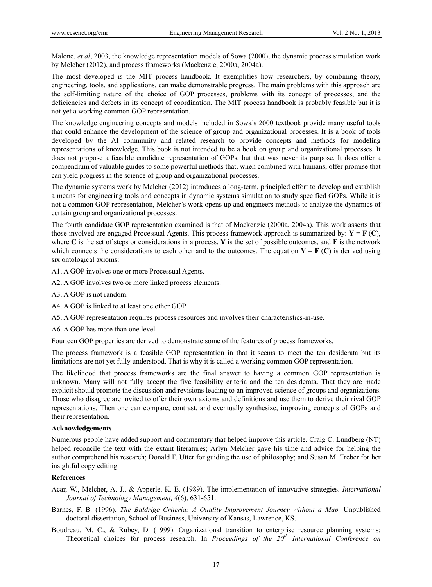Malone, *et al*, 2003, the knowledge representation models of Sowa (2000), the dynamic process simulation work by Melcher (2012), and process frameworks (Mackenzie, 2000a, 2004a).

The most developed is the MIT process handbook. It exemplifies how researchers, by combining theory, engineering, tools, and applications, can make demonstrable progress. The main problems with this approach are the self-limiting nature of the choice of GOP processes, problems with its concept of processes, and the deficiencies and defects in its concept of coordination. The MIT process handbook is probably feasible but it is not yet a working common GOP representation.

The knowledge engineering concepts and models included in Sowa's 2000 textbook provide many useful tools that could enhance the development of the science of group and organizational processes. It is a book of tools developed by the AI community and related research to provide concepts and methods for modeling representations of knowledge. This book is not intended to be a book on group and organizational processes. It does not propose a feasible candidate representation of GOPs, but that was never its purpose. It does offer a compendium of valuable guides to some powerful methods that, when combined with humans, offer promise that can yield progress in the science of group and organizational processes.

The dynamic systems work by Melcher (2012) introduces a long-term, principled effort to develop and establish a means for engineering tools and concepts in dynamic systems simulation to study specified GOPs. While it is not a common GOP representation, Melcher's work opens up and engineers methods to analyze the dynamics of certain group and organizational processes.

The fourth candidate GOP representation examined is that of Mackenzie (2000a, 2004a). This work asserts that those involved are engaged Processual Agents. This process framework approach is summarized by:  $Y = F(C)$ , where **C** is the set of steps or considerations in a process, **Y** is the set of possible outcomes, and **F** is the network which connects the considerations to each other and to the outcomes. The equation  $Y = F(C)$  is derived using six ontological axioms:

A1. A GOP involves one or more Processual Agents.

A2. A GOP involves two or more linked process elements.

- A3. A GOP is not random.
- A4. A GOP is linked to at least one other GOP.

A5. A GOP representation requires process resources and involves their characteristics-in-use.

A6. A GOP has more than one level.

Fourteen GOP properties are derived to demonstrate some of the features of process frameworks.

The process framework is a feasible GOP representation in that it seems to meet the ten desiderata but its limitations are not yet fully understood. That is why it is called a working common GOP representation.

The likelihood that process frameworks are the final answer to having a common GOP representation is unknown. Many will not fully accept the five feasibility criteria and the ten desiderata. That they are made explicit should promote the discussion and revisions leading to an improved science of groups and organizations. Those who disagree are invited to offer their own axioms and definitions and use them to derive their rival GOP representations. Then one can compare, contrast, and eventually synthesize, improving concepts of GOPs and their representation.

## **Acknowledgements**

Numerous people have added support and commentary that helped improve this article. Craig C. Lundberg (NT) helped reconcile the text with the extant literatures; Arlyn Melcher gave his time and advice for helping the author comprehend his research; Donald F. Utter for guiding the use of philosophy; and Susan M. Treber for her insightful copy editing.

# **References**

- Acar, W., Melcher, A. J., & Apperle, K. E. (1989). The implementation of innovative strategies. *International Journal of Technology Management, 4*(6), 631-651.
- Barnes, F. B. (1996). *The Baldrige Criteria: A Quality Improvement Journey without a Map.* Unpublished doctoral dissertation, School of Business, University of Kansas, Lawrence, KS.
- Boudreau, M. C., & Rubey, D. (1999). Organizational transition to enterprise resource planning systems: Theoretical choices for process research. In *Proceedings of the 20th International Conference on*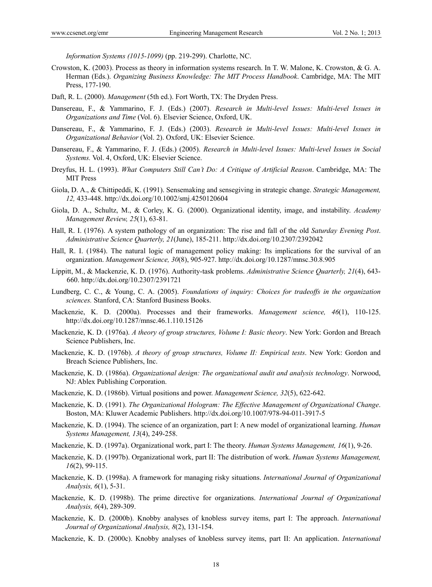*Information Systems (1015-1099)* (pp. 219-299). Charlotte, NC.

- Crowston, K. (2003). Process as theory in information systems research. In T. W. Malone, K. Crowston, & G. A. Herman (Eds.). *Organizing Business Knowledge: The MIT Process Handbook*. Cambridge, MA: The MIT Press, 177-190.
- Daft, R. L. (2000). *Management* (5th ed.). Fort Worth, TX: The Dryden Press.
- Dansereau, F., & Yammarino, F. J. (Eds.) (2007). *Research in Multi-level Issues: Multi-level Issues in Organizations and Time* (Vol. 6). Elsevier Science, Oxford, UK.
- Dansereau, F., & Yammarino, F. J. (Eds.) (2003). *Research in Multi-level Issues: Multi-level Issues in Organizational Behavior* (Vol. 2). Oxford, UK: Elsevier Science.
- Dansereau, F., & Yammarino, F. J. (Eds.) (2005). *Research in Multi-level Issues: Multi-level Issues in Social Systems.* Vol. 4, Oxford, UK: Elsevier Science.
- Dreyfus, H. L. (1993). *What Computers Still Can't Do: A Critique of Artificial Reason*. Cambridge, MA: The MIT Press
- Giola, D. A., & Chittipeddi, K. (1991). Sensemaking and sensegiving in strategic change. *Strategic Management, 12,* 433-448. http://dx.doi.org/10.1002/smj.4250120604
- Giola, D. A., Schultz, M., & Corley, K. G. (2000). Organizational identity, image, and instability. *Academy Management Review, 25*(1), 63-81.
- Hall, R. I. (1976). A system pathology of an organization: The rise and fall of the old *Saturday Evening Post*. *Administrative Science Quarterly, 21*(June), 185-211. http://dx.doi.org/10.2307/2392042
- Hall, R. I. (1984). The natural logic of management policy making: Its implications for the survival of an organization. *Management Science, 30*(8), 905-927. http://dx.doi.org/10.1287/mnsc.30.8.905
- Lippitt, M., & Mackenzie, K. D. (1976). Authority-task problems. *Administrative Science Quarterly, 21*(4), 643- 660. http://dx.doi.org/10.2307/2391721
- Lundberg, C. C., & Young, C. A. (2005). *Foundations of inquiry: Choices for tradeoffs in the organization sciences.* Stanford, CA: Stanford Business Books.
- Mackenzie, K. D. (2000a). Processes and their frameworks. *Management science, 46*(1), 110-125. http://dx.doi.org/10.1287/mnsc.46.1.110.15126
- Mackenzie, K. D. (1976a). *A theory of group structures, Volume I: Basic theory*. New York: Gordon and Breach Science Publishers, Inc.
- Mackenzie, K. D. (1976b). *A theory of group structures, Volume II: Empirical tests*. New York: Gordon and Breach Science Publishers, Inc.
- Mackenzie, K. D. (1986a). *Organizational design: The organizational audit and analysis technology*. Norwood, NJ: Ablex Publishing Corporation.
- Mackenzie, K. D. (1986b). Virtual positions and power. *Management Science, 32*(5), 622-642.
- Mackenzie, K. D. (1991). *The Organizational Hologram: The Effective Management of Organizational Change*. Boston, MA: Kluwer Academic Publishers. http://dx.doi.org/10.1007/978-94-011-3917-5
- Mackenzie, K. D. (1994). The science of an organization, part I: A new model of organizational learning. *Human Systems Management, 13*(4), 249-258.
- Mackenzie, K. D. (1997a). Organizational work, part I: The theory. *Human Systems Management, 16*(1), 9-26.
- Mackenzie, K. D. (1997b). Organizational work, part II: The distribution of work. *Human Systems Management, 16*(2), 99-115.
- Mackenzie, K. D. (1998a). A framework for managing risky situations. *International Journal of Organizational Analysis, 6*(1), 5-31.
- Mackenzie, K. D. (1998b). The prime directive for organizations. *International Journal of Organizational Analysis, 6*(4), 289-309.
- Mackenzie, K. D. (2000b). Knobby analyses of knobless survey items, part I: The approach. *International Journal of Organizational Analysis, 8*(2), 131-154.
- Mackenzie, K. D. (2000c). Knobby analyses of knobless survey items, part II: An application. *International*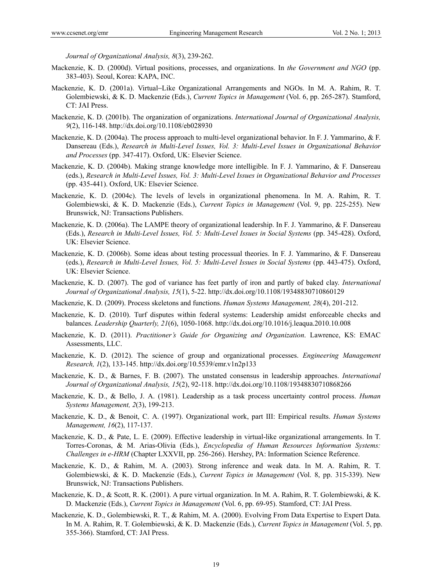*Journal of Organizational Analysis, 8*(3), 239-262.

- Mackenzie, K. D. (2000d). Virtual positions, processes, and organizations. In *the Government and NGO* (pp. 383-403). Seoul, Korea: KAPA, INC.
- Mackenzie, K. D. (2001a). Virtual–Like Organizational Arrangements and NGOs. In M. A. Rahim, R. T. Golembiewski, & K. D. Mackenzie (Eds.), *Current Topics in Management* (Vol. 6, pp. 265-287). Stamford, CT: JAI Press.
- Mackenzie, K. D. (2001b). The organization of organizations. *International Journal of Organizational Analysis, 9*(2), 116-148. http://dx.doi.org/10.1108/eb028930
- Mackenzie, K. D. (2004a). The process approach to multi-level organizational behavior. In F. J. Yammarino, & F. Dansereau (Eds.), *Research in Multi-Level Issues, Vol. 3: Multi-Level Issues in Organizational Behavior and Processes* (pp. 347-417). Oxford, UK: Elsevier Science.
- Mackenzie, K. D. (2004b). Making strange knowledge more intelligible. In F. J. Yammarino, & F. Dansereau (eds.), *Research in Multi-Level Issues, Vol. 3: Multi-Level Issues in Organizational Behavior and Processes*  (pp. 435-441). Oxford, UK: Elsevier Science.
- Mackenzie, K. D. (2004c). The levels of levels in organizational phenomena. In M. A. Rahim, R. T. Golembiewski, & K. D. Mackenzie (Eds.), *Current Topics in Management* (Vol. 9, pp. 225-255). New Brunswick, NJ: Transactions Publishers.
- Mackenzie, K. D. (2006a). The LAMPE theory of organizational leadership. In F. J. Yammarino, & F. Dansereau (Eds.), *Research in Multi-Level Issues, Vol. 5: Multi-Level Issues in Social Systems* (pp. 345-428). Oxford, UK: Elsevier Science.
- Mackenzie, K. D. (2006b). Some ideas about testing processual theories. In F. J. Yammarino, & F. Dansereau (eds.), *Research in Multi-Level Issues, Vol. 5: Multi-Level Issues in Social Systems* (pp. 443-475). Oxford, UK: Elsevier Science.
- Mackenzie, K. D. (2007). The god of variance has feet partly of iron and partly of baked clay. *International Journal of Organizational Analysis, 15*(1), 5-22. http://dx.doi.org/10.1108/19348830710860129
- Mackenzie, K. D. (2009). Process skeletons and functions. *Human Systems Management, 28*(4), 201-212.
- Mackenzie, K. D. (2010). Turf disputes within federal systems: Leadership amidst enforceable checks and balances. *Leadership Quarterly, 21*(6), 1050-1068. http://dx.doi.org/10.1016/j.leaqua.2010.10.008
- Mackenzie, K. D. (2011). *Practitioner's Guide for Organizing and Organization*. Lawrence, KS: EMAC Assessments, LLC.
- Mackenzie, K. D. (2012). The science of group and organizational processes. *Engineering Management Research, 1*(2), 133-145. http://dx.doi.org/10.5539/emr.v1n2p133
- Mackenzie, K. D., & Barnes, F. B. (2007). The unstated consensus in leadership approaches. *International Journal of Organizational Analysis, 15*(2), 92-118. http://dx.doi.org/10.1108/19348830710868266
- Mackenzie, K. D., & Bello, J. A. (1981). Leadership as a task process uncertainty control process. *Human Systems Management, 2*(3), 199-213.
- Mackenzie, K. D., & Benoit, C. A. (1997). Organizational work, part III: Empirical results. *Human Systems Management, 16*(2), 117-137.
- Mackenzie, K. D., & Pate, L. E. (2009). Effective leadership in virtual-like organizational arrangements. In T. Torres-Coronas, & M. Arias-Olivia (Eds.), *Encyclopedia of Human Resources Information Systems: Challenges in e-HRM* (Chapter LXXVII, pp. 256-266). Hershey, PA: Information Science Reference.
- Mackenzie, K. D., & Rahim, M. A. (2003). Strong inference and weak data. In M. A. Rahim, R. T. Golembiewski, & K. D. Mackenzie (Eds.), *Current Topics in Management* (Vol. 8, pp. 315-339). New Brunswick, NJ: Transactions Publishers.
- Mackenzie, K. D., & Scott, R. K. (2001). A pure virtual organization. In M. A. Rahim, R. T. Golembiewski, & K. D. Mackenzie (Eds.), *Current Topics in Management* (Vol. 6, pp. 69-95). Stamford, CT: JAI Press.
- Mackenzie, K. D., Golembiewski, R. T., & Rahim, M. A. (2000). Evolving From Data Expertise to Expert Data. In M. A. Rahim, R. T. Golembiewski, & K. D. Mackenzie (Eds.), *Current Topics in Management* (Vol. 5, pp. 355-366). Stamford, CT: JAI Press.